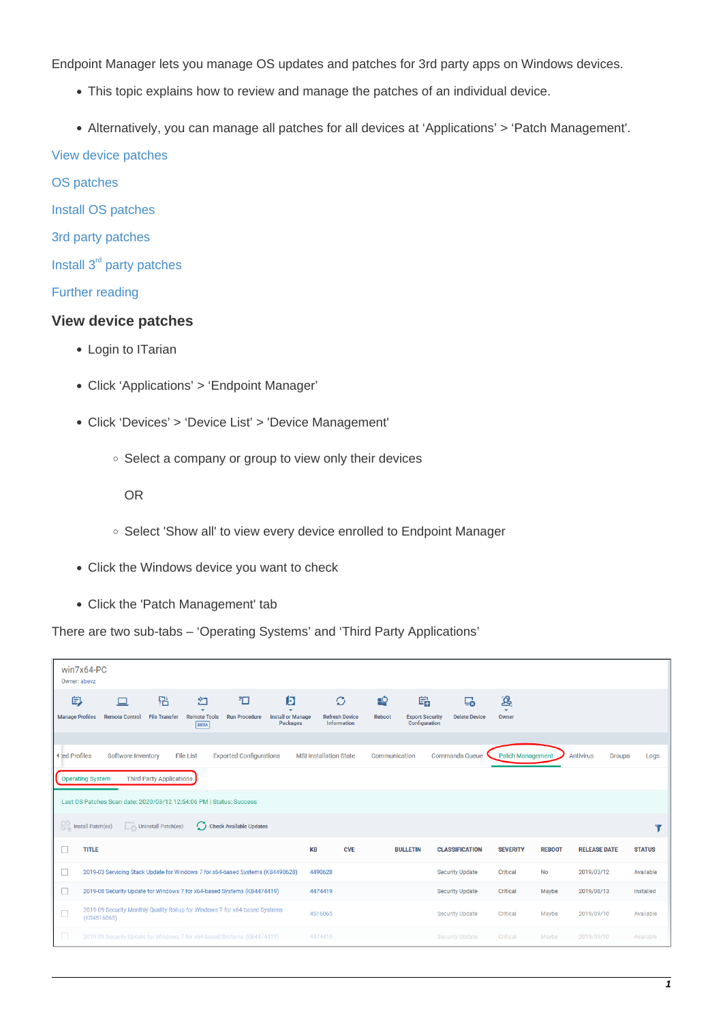Endpoint Manager lets you manage OS updates and patches for 3rd party apps on Windows devices.

- This topic explains how to review and manage the patches of an individual device.
- Alternatively, you can manage all patches for all devices at 'Applications' > 'Patch Management'.

#### [View device patches](#page-0-0)

[OS patches](#page-0-1)

- [Install OS patches](#page-1-0)
- [3](#page--1-0)[rd party patches](#page-2-0)
- [Install 3](#page-3-0)<sup>[rd](#page-3-0)</sup> [party patches](#page-3-0)

### [Further reading](#page-4-0)

### <span id="page-0-0"></span>**View device patches**

- Login to ITarian
- Click 'Applications' > 'Endpoint Manager'
- Click 'Devices' > 'Device List' > 'Device Management'
	- Select a company or group to view only their devices

OR

- Select 'Show all' to view every device enrolled to Endpoint Manager
- Click the Windows device you want to check
- Click the 'Patch Management' tab

There are two sub-tabs – 'Operating Systems' and 'Third Party Applications'

<span id="page-0-1"></span>

|                             | win7x64-PC<br>Owner: abevz                                                                                                                                                                                                                                                                                 |                           |                                         |                           |                                           |                                                              |             |                                              |                            |                                          |               |                     |               |
|-----------------------------|------------------------------------------------------------------------------------------------------------------------------------------------------------------------------------------------------------------------------------------------------------------------------------------------------------|---------------------------|-----------------------------------------|---------------------------|-------------------------------------------|--------------------------------------------------------------|-------------|----------------------------------------------|----------------------------|------------------------------------------|---------------|---------------------|---------------|
| 学<br><b>Manage Profiles</b> | <b>Remote Control</b>                                                                                                                                                                                                                                                                                      | 铝<br><b>File Transfer</b> | 언<br><b>Remote Tools</b><br><b>BETA</b> | 扣<br><b>Run Procedure</b> | 问<br><b>Install or Manage</b><br>Packages | $\mathcal{O}$<br><b>Refresh Device</b><br><b>Information</b> | ∙<br>Reboot | 島<br><b>Export Security</b><br>Configuration | L0<br><b>Delete Device</b> | ்தி<br>$\overline{\phantom{a}}$<br>Owner |               |                     |               |
|                             | <b>Patch Management</b><br><b>Antivirus</b><br>◀ ed Profiles<br>Software Inventory<br><b>File List</b><br><b>Exported Configurations</b><br><b>MSI Installation State</b><br>Communication<br><b>Commands Queue</b><br><b>Groups</b><br>Logs<br><b>Third Party Applications</b><br><b>Operating System</b> |                           |                                         |                           |                                           |                                                              |             |                                              |                            |                                          |               |                     |               |
|                             | Last OS Patches Scan date: 2020/03/12 12:54:06 PM   Status: Success                                                                                                                                                                                                                                        |                           |                                         |                           |                                           |                                                              |             |                                              |                            |                                          |               |                     |               |
|                             | Install Patch(es)                                                                                                                                                                                                                                                                                          | Uninstall Patch(es)       |                                         | C Check Available Updates |                                           |                                                              |             |                                              |                            |                                          |               |                     |               |
| <b>In</b>                   | <b>TITLE</b>                                                                                                                                                                                                                                                                                               |                           |                                         |                           | <b>KB</b>                                 | <b>CVE</b>                                                   |             | <b>BULLETIN</b>                              | <b>CLASSIFICATION</b>      | <b>SEVERITY</b>                          | <b>REBOOT</b> | <b>RELEASE DATE</b> | <b>STATUS</b> |
| □                           | 2019-03 Servicing Stack Update for Windows 7 for x64-based Systems (KB4490628)                                                                                                                                                                                                                             |                           |                                         |                           |                                           | 4490628                                                      |             |                                              | <b>Security Update</b>     | Critical                                 | <b>No</b>     | 2019/03/12          | Available     |
| Е                           | 2019-08 Security Update for Windows 7 for x64-based Systems (KB4474419)                                                                                                                                                                                                                                    |                           |                                         |                           |                                           | 4474419                                                      |             |                                              | <b>Security Update</b>     | Critical                                 | Maybe         | 2019/08/13          | Installed     |
| $\Box$                      | 2019-09 Security Monthly Quality Rollup for Windows 7 for x64-based Systems<br>(KB4516065)                                                                                                                                                                                                                 |                           |                                         |                           |                                           | 4516065                                                      |             |                                              | <b>Security Update</b>     | Critical                                 | Maybe         | 2019/09/10          | Available     |
| $\Box$                      | 2019-09 Security Update for Windows 7 for x64-based Systems (KB4474419)                                                                                                                                                                                                                                    |                           |                                         |                           |                                           | 4474419                                                      |             |                                              | <b>Security Update</b>     | Critical                                 | Maybe         | 2019/09/10          | Available     |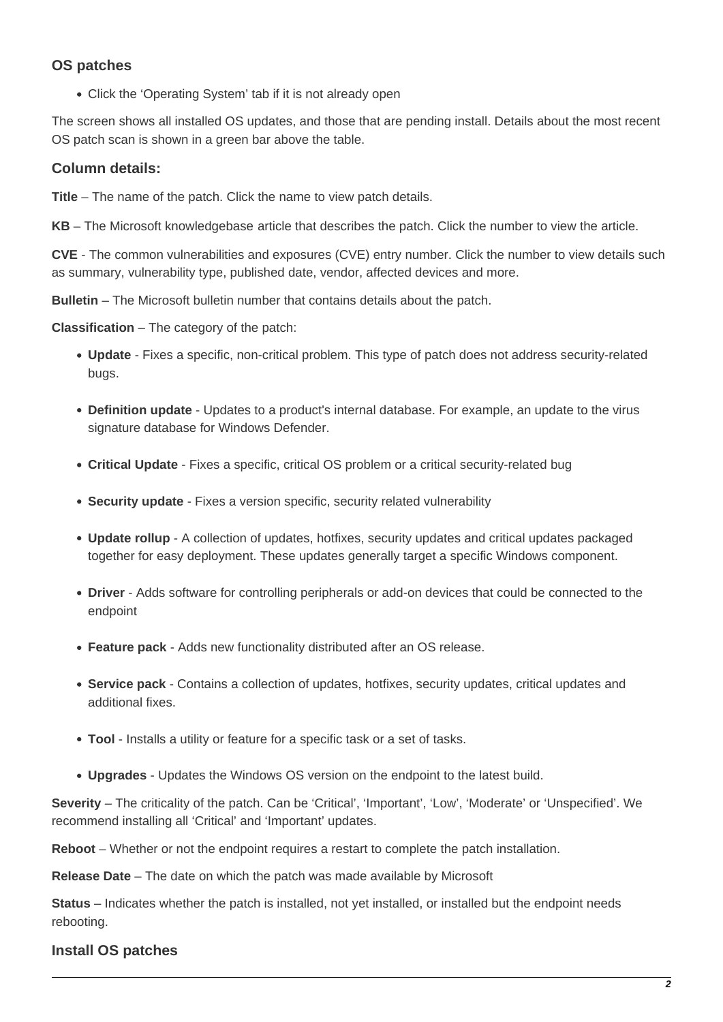# **OS patches**

Click the 'Operating System' tab if it is not already open

The screen shows all installed OS updates, and those that are pending install. Details about the most recent OS patch scan is shown in a green bar above the table.

## **Column details:**

**Title** – The name of the patch. Click the name to view patch details.

**KB** – The Microsoft knowledgebase article that describes the patch. Click the number to view the article.

**CVE** - The common vulnerabilities and exposures (CVE) entry number. Click the number to view details such as summary, vulnerability type, published date, vendor, affected devices and more.

**Bulletin** – The Microsoft bulletin number that contains details about the patch.

**Classification** – The category of the patch:

- **Update** Fixes a specific, non-critical problem. This type of patch does not address security-related bugs.
- **Definition update** Updates to a product's internal database. For example, an update to the virus signature database for Windows Defender.
- **Critical Update** Fixes a specific, critical OS problem or a critical security-related bug
- **Security update** Fixes a version specific, security related vulnerability
- **Update rollup** A collection of updates, hotfixes, security updates and critical updates packaged together for easy deployment. These updates generally target a specific Windows component.
- **Driver**  Adds software for controlling peripherals or add-on devices that could be connected to the endpoint
- **Feature pack**  Adds new functionality distributed after an OS release.
- **Service pack**  Contains a collection of updates, hotfixes, security updates, critical updates and additional fixes.
- **Tool** Installs a utility or feature for a specific task or a set of tasks.
- **Upgrades** Updates the Windows OS version on the endpoint to the latest build.

**Severity** – The criticality of the patch. Can be 'Critical', 'Important', 'Low', 'Moderate' or 'Unspecified'. We recommend installing all 'Critical' and 'Important' updates.

**Reboot** – Whether or not the endpoint requires a restart to complete the patch installation.

**Release Date** – The date on which the patch was made available by Microsoft

**Status** – Indicates whether the patch is installed, not yet installed, or installed but the endpoint needs rebooting.

## <span id="page-1-0"></span>**Install OS patches**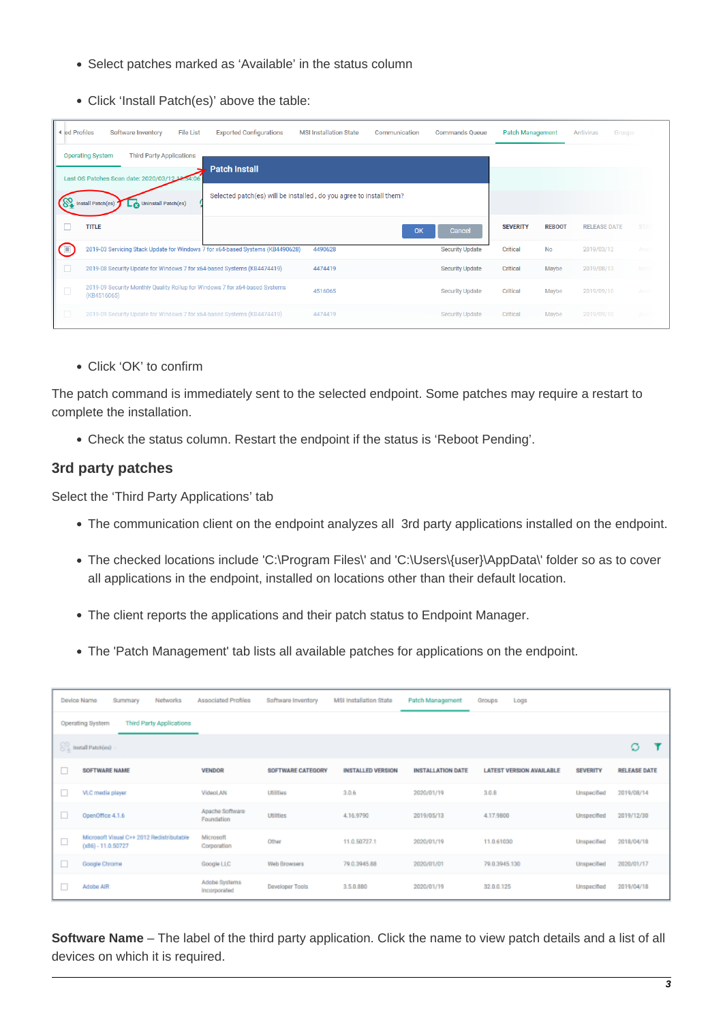- Select patches marked as 'Available' in the status column
- Click 'Install Patch(es)' above the table:

| I ed Profiles  | Software Inventory                                                                         | <b>File List</b><br><b>Exported Configurations</b>                             | <b>MSI Installation State</b> | Communication | <b>Commands Queue</b>  | <b>Patch Management</b> |               | Antivirus<br>Groups |            |
|----------------|--------------------------------------------------------------------------------------------|--------------------------------------------------------------------------------|-------------------------------|---------------|------------------------|-------------------------|---------------|---------------------|------------|
|                | <b>Operating System</b><br><b>Third Party Applications</b>                                 | <b>Patch Install</b>                                                           |                               |               |                        |                         |               |                     |            |
|                | Last OS Patches Scan date: 2020/03/12 12:54:                                               |                                                                                |                               |               |                        |                         |               |                     |            |
|                | Uninstall Patch(es)<br>Install Patch(es)                                                   | Selected patch(es) will be installed, do you agree to install them?            |                               |               |                        |                         |               |                     |            |
|                | <b>TITLE</b>                                                                               |                                                                                |                               | OK            | Cancel                 | <b>SEVERITY</b>         | <b>REBOOT</b> | <b>RELEASE DATE</b> | <b>STA</b> |
| $\blacksquare$ |                                                                                            | 2019-03 Servicing Stack Update for Windows 7 for x64-based Systems (KB4490628) | 4490628                       |               | <b>Security Update</b> | Critical                | <b>No</b>     | 2019/03/12          | Avail      |
| □              | 2019-08 Security Update for Windows 7 for x64-based Systems (KB4474419)                    |                                                                                | 4474419                       |               | <b>Security Update</b> | Critical                | Maybe         | 2019/08/13          | Insta      |
| $\Box$         | 2019-09 Security Monthly Quality Rollup for Windows 7 for x64-based Systems<br>(KB4516065) |                                                                                | 4516065                       |               | <b>Security Update</b> | Critical                | Maybe         | 2019/09/10          | Avail      |
| $\Box$         | 2019-09 Security Update for Windows 7 for x64-based Systems (KB4474419)                    |                                                                                | 4474419                       |               | <b>Security Update</b> | Critical                | Maybe         | 2019/09/10          | Av:        |

Click 'OK' to confirm

The patch command is immediately sent to the selected endpoint. Some patches may require a restart to complete the installation.

Check the status column. Restart the endpoint if the status is 'Reboot Pending'.

## <span id="page-2-0"></span>**3rd party patches**

Select the 'Third Party Applications' tab

- The communication client on the endpoint analyzes all 3rd party applications installed on the endpoint.
- The checked locations include 'C:\Program Files\' and 'C:\Users\{user}\AppData\' folder so as to cover all applications in the endpoint, installed on locations other than their default location.
- The client reports the applications and their patch status to Endpoint Manager.
- The 'Patch Management' tab lists all available patches for applications on the endpoint.

|                                                            | Device Name<br>Summary<br>Networks                                | Associated Profiles           | Software Inventory     | MSI Installation State   | Patch Management         | Groups<br>Logs                  |                 |                     |
|------------------------------------------------------------|-------------------------------------------------------------------|-------------------------------|------------------------|--------------------------|--------------------------|---------------------------------|-----------------|---------------------|
| <b>Third Party Applications</b><br><b>Operating System</b> |                                                                   |                               |                        |                          |                          |                                 |                 |                     |
|                                                            | <b>S</b> Install Patch(es)                                        |                               |                        |                          |                          |                                 |                 | ø                   |
| □                                                          | <b>SOFTWARE NAME</b>                                              | <b>VENDOR</b>                 | SOFTWARE CATEGORY      | <b>INSTALLED VERSION</b> | <b>INSTALLATION DATE</b> | <b>LATEST VERSION AVAILABLE</b> | <b>SEVERITY</b> | <b>RELEASE DATE</b> |
| □                                                          | VLC media player                                                  | <b>VideoLAN</b>               | <b>Utilities</b>       | 3.0.6                    | 2020/01/19               | 3.0.8                           | Unspecified     | 2019/08/14          |
| ш                                                          | OpenOffice 4.1.6                                                  | Apache Software<br>Foundation | <b>Utilities</b>       | 4.16.9790                | 2019/05/13               | 4.17.9800                       | Unspecified     | 2019/12/30          |
| □                                                          | Microsoft Visual C++ 2012 Redistributable<br>$(x86) - 11.0.50727$ | Microsoft<br>Corporation      | Other                  | 11.0.50727.1             | 2020/01/19               | 11.0.61030                      | Unspecified     | 2018/04/18          |
| ш                                                          | Google Chrome                                                     | Google LLC                    | Web Browsers           | 79.0.3945.88             | 2020/01/01               | 79.0.3945.130                   | Unspecified     | 2020/01/17          |
| ш                                                          | Adobe AIR                                                         | Adobe Systems<br>Incorporated | <b>Developer Tools</b> | 3.5.0.880                | 2020/01/19               | 32.0.0.125                      | Unspecified     | 2019/04/18          |

**Software Name** – The label of the third party application. Click the name to view patch details and a list of all devices on which it is required.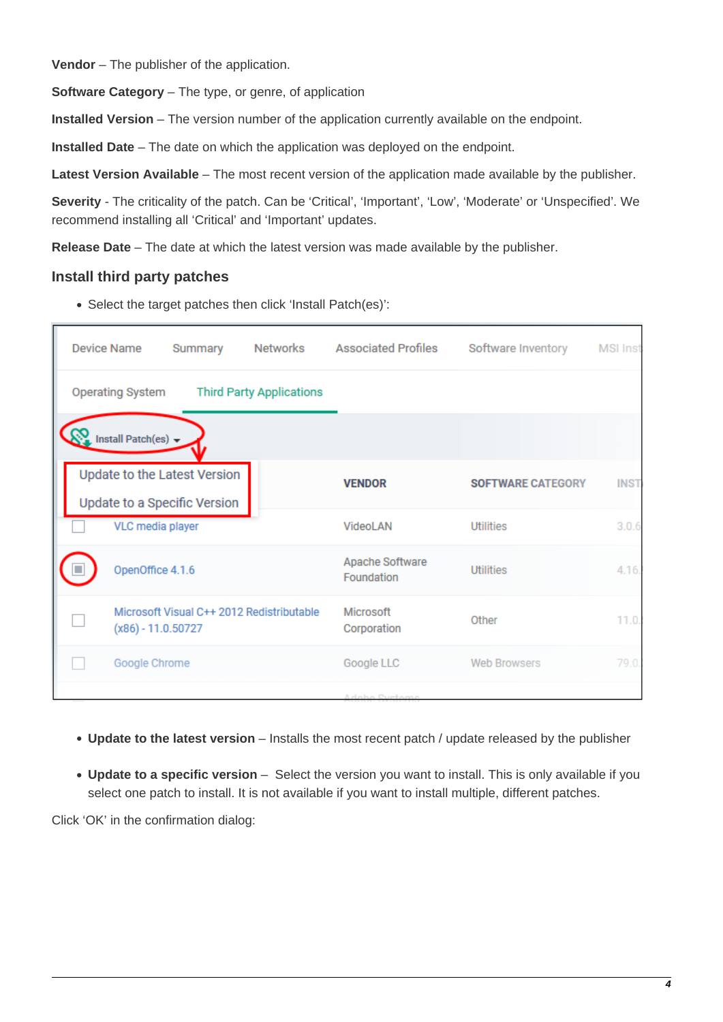**Vendor** – The publisher of the application.

**Software Category** – The type, or genre, of application

**Installed Version** – The version number of the application currently available on the endpoint.

**Installed Date** – The date on which the application was deployed on the endpoint.

**Latest Version Available** – The most recent version of the application made available by the publisher.

**Severity** - The criticality of the patch. Can be 'Critical', 'Important', 'Low', 'Moderate' or 'Unspecified'. We recommend installing all 'Critical' and 'Important' updates.

**Release Date** – The date at which the latest version was made available by the publisher.

### <span id="page-3-0"></span>**Install third party patches**

Select the target patches then click 'Install Patch(es)':

| <b>Device Name</b><br>Summary                                       | Networks<br><b>Associated Profiles</b> | Software Inventory       | <b>MSI Inst</b> |
|---------------------------------------------------------------------|----------------------------------------|--------------------------|-----------------|
| <b>Operating System</b><br><b>Third Party Applications</b>          |                                        |                          |                 |
| Install Patch(es) $\rightarrow$                                     |                                        |                          |                 |
| <b>Update to the Latest Version</b><br>Update to a Specific Version | <b>VENDOR</b>                          | <b>SOFTWARE CATEGORY</b> | <b>INST.</b>    |
| <b>VLC</b> media player                                             | VideoLAN                               | <b>Utilities</b>         | 3.0.6           |
| OpenOffice 4.1.6                                                    | Apache Software<br>Foundation          | <b>Utilities</b>         | 4.16.           |
| Microsoft Visual C++ 2012 Redistributable<br>$(x86) - 11.0.50727$   | Microsoft<br>Corporation               | Other                    | 11.0.           |
| Google Chrome                                                       | Google LLC                             | <b>Web Browsers</b>      | 79.0.           |
|                                                                     | Adobo Custom                           |                          |                 |

- **Update to the latest version** Installs the most recent patch / update released by the publisher
- **Update to a specific version** Select the version you want to install. This is only available if you select one patch to install. It is not available if you want to install multiple, different patches.

Click 'OK' in the confirmation dialog: